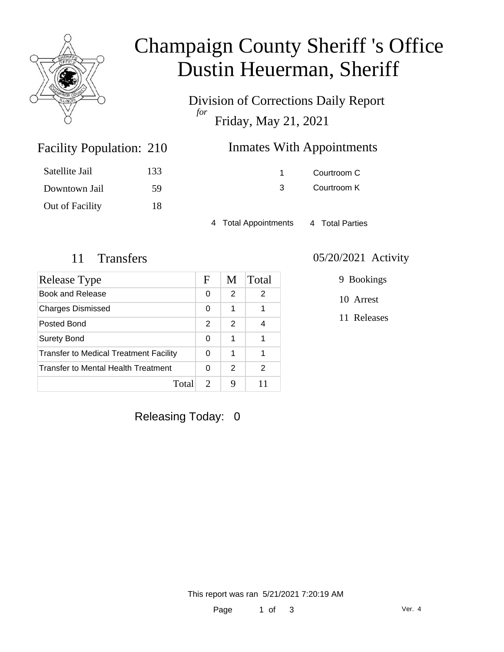

## Champaign County Sheriff 's Office Dustin Heuerman, Sheriff

Division of Corrections Daily Report *for* Friday, May 21, 2021

| Satellite Jail  | 133 |
|-----------------|-----|
| Downtown Jail   | 59  |
| Out of Facility | 18  |

Facility Population: 210

1 Courtroom C 3 Courtroom K

4 Total Appointments 4 Total Parties

| Release Type                           | F             | M             | Total |
|----------------------------------------|---------------|---------------|-------|
| Book and Release                       | 0             | 2             | 2     |
| <b>Charges Dismissed</b>               | 0             | 1             | 1     |
| Posted Bond                            | $\mathcal{P}$ | $\mathcal{P}$ | 4     |
| <b>Surety Bond</b>                     | 0             | 1             | 1     |
| Transfer to Medical Treatment Facility |               | 1             | 1     |
| Transfer to Mental Health Treatment    | 0             | 2             | 2     |
| Total                                  | $\mathcal{D}$ | 9             |       |

#### 11 Transfers 05/20/2021 Activity

9 Bookings

10 Arrest

11 Releases

Releasing Today: 0

This report was ran 5/21/2021 7:20:19 AM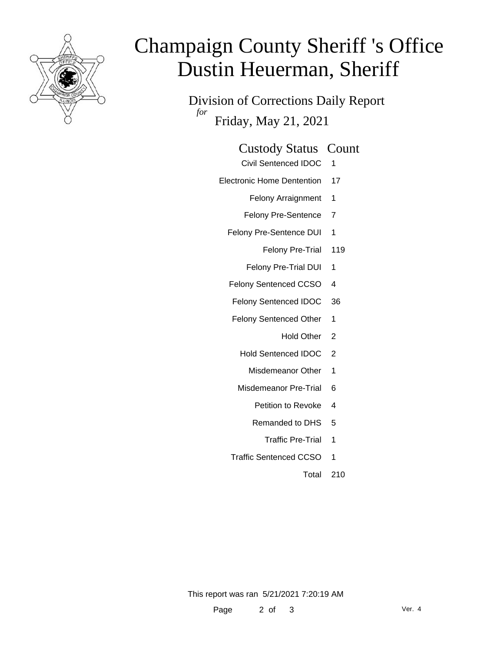

# Champaign County Sheriff 's Office Dustin Heuerman, Sheriff

Division of Corrections Daily Report *for* Friday, May 21, 2021

#### Custody Status Count

- Civil Sentenced IDOC 1
- Electronic Home Dentention 17
	- Felony Arraignment 1
	- Felony Pre-Sentence 7
	- Felony Pre-Sentence DUI 1
		- Felony Pre-Trial 119
		- Felony Pre-Trial DUI 1
	- Felony Sentenced CCSO 4
	- Felony Sentenced IDOC 36
	- Felony Sentenced Other 1
		- Hold Other 2
		- Hold Sentenced IDOC 2
			- Misdemeanor Other 1
		- Misdemeanor Pre-Trial 6
			- Petition to Revoke 4
			- Remanded to DHS 5
				- Traffic Pre-Trial 1
	- Traffic Sentenced CCSO 1
		- Total 210